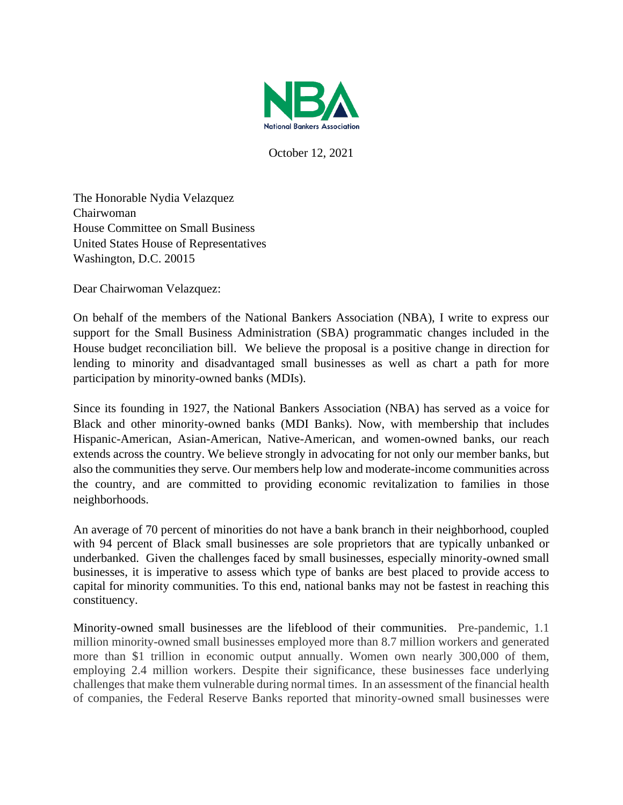

October 12, 2021

The Honorable Nydia Velazquez Chairwoman House Committee on Small Business United States House of Representatives Washington, D.C. 20015

Dear Chairwoman Velazquez:

On behalf of the members of the National Bankers Association (NBA), I write to express our support for the Small Business Administration (SBA) programmatic changes included in the House budget reconciliation bill. We believe the proposal is a positive change in direction for lending to minority and disadvantaged small businesses as well as chart a path for more participation by minority-owned banks (MDIs).

Since its founding in 1927, the National Bankers Association (NBA) has served as a voice for Black and other minority-owned banks (MDI Banks). Now, with membership that includes Hispanic-American, Asian-American, Native-American, and women-owned banks, our reach extends across the country. We believe strongly in advocating for not only our member banks, but also the communities they serve. Our members help low and moderate-income communities across the country, and are committed to providing economic revitalization to families in those neighborhoods.

An average of 70 percent of minorities do not have a bank branch in their neighborhood, coupled with 94 percent of Black small businesses are sole proprietors that are typically unbanked or underbanked. Given the challenges faced by small businesses, especially minority-owned small businesses, it is imperative to assess which type of banks are best placed to provide access to capital for minority communities. To this end, national banks may not be fastest in reaching this constituency.

Minority-owned small businesses are the lifeblood of their communities. Pre-pandemic, 1.1 million minority-owned small businesses employed more than 8.7 million workers and generated more than \$1 trillion in economic output annually. Women own nearly 300,000 of them, employing 2.4 million workers. Despite their significance, these businesses face underlying challenges that make them vulnerable during normal times. In an assessment of the financial health of companies, the Federal Reserve Banks reported that minority-owned small businesses were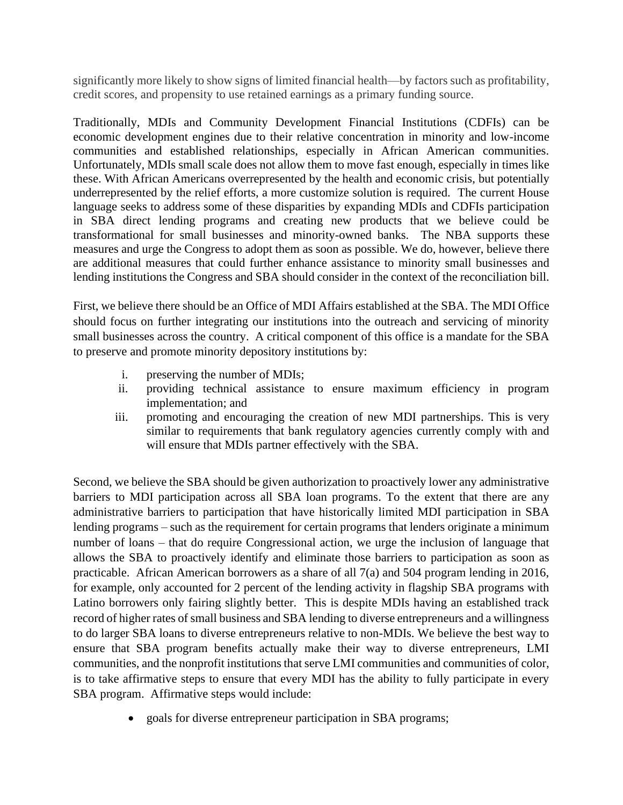significantly more likely to show signs of limited financial health—by factors such as profitability, credit scores, and propensity to use retained earnings as a primary funding source.

Traditionally, MDIs and Community Development Financial Institutions (CDFIs) can be economic development engines due to their relative concentration in minority and low-income communities and established relationships, especially in African American communities. Unfortunately, MDIs small scale does not allow them to move fast enough, especially in times like these. With African Americans overrepresented by the health and economic crisis, but potentially underrepresented by the relief efforts, a more customize solution is required. The current House language seeks to address some of these disparities by expanding MDIs and CDFIs participation in SBA direct lending programs and creating new products that we believe could be transformational for small businesses and minority-owned banks. The NBA supports these measures and urge the Congress to adopt them as soon as possible. We do, however, believe there are additional measures that could further enhance assistance to minority small businesses and lending institutions the Congress and SBA should consider in the context of the reconciliation bill.

First, we believe there should be an Office of MDI Affairs established at the SBA. The MDI Office should focus on further integrating our institutions into the outreach and servicing of minority small businesses across the country. A critical component of this office is a mandate for the SBA to preserve and promote minority depository institutions by:

- i. preserving the number of MDIs;
- ii. providing technical assistance to ensure maximum efficiency in program implementation; and
- iii. promoting and encouraging the creation of new MDI partnerships. This is very similar to requirements that bank regulatory agencies currently comply with and will ensure that MDIs partner effectively with the SBA.

Second, we believe the SBA should be given authorization to proactively lower any administrative barriers to MDI participation across all SBA loan programs. To the extent that there are any administrative barriers to participation that have historically limited MDI participation in SBA lending programs – such as the requirement for certain programs that lenders originate a minimum number of loans – that do require Congressional action, we urge the inclusion of language that allows the SBA to proactively identify and eliminate those barriers to participation as soon as practicable. African American borrowers as a share of all 7(a) and 504 program lending in 2016, for example, only accounted for 2 percent of the lending activity in flagship SBA programs with Latino borrowers only fairing slightly better. This is despite MDIs having an established track record of higher rates of small business and SBA lending to diverse entrepreneurs and a willingness to do larger SBA loans to diverse entrepreneurs relative to non-MDIs. We believe the best way to ensure that SBA program benefits actually make their way to diverse entrepreneurs, LMI communities, and the nonprofit institutions that serve LMI communities and communities of color, is to take affirmative steps to ensure that every MDI has the ability to fully participate in every SBA program. Affirmative steps would include:

• goals for diverse entrepreneur participation in SBA programs;